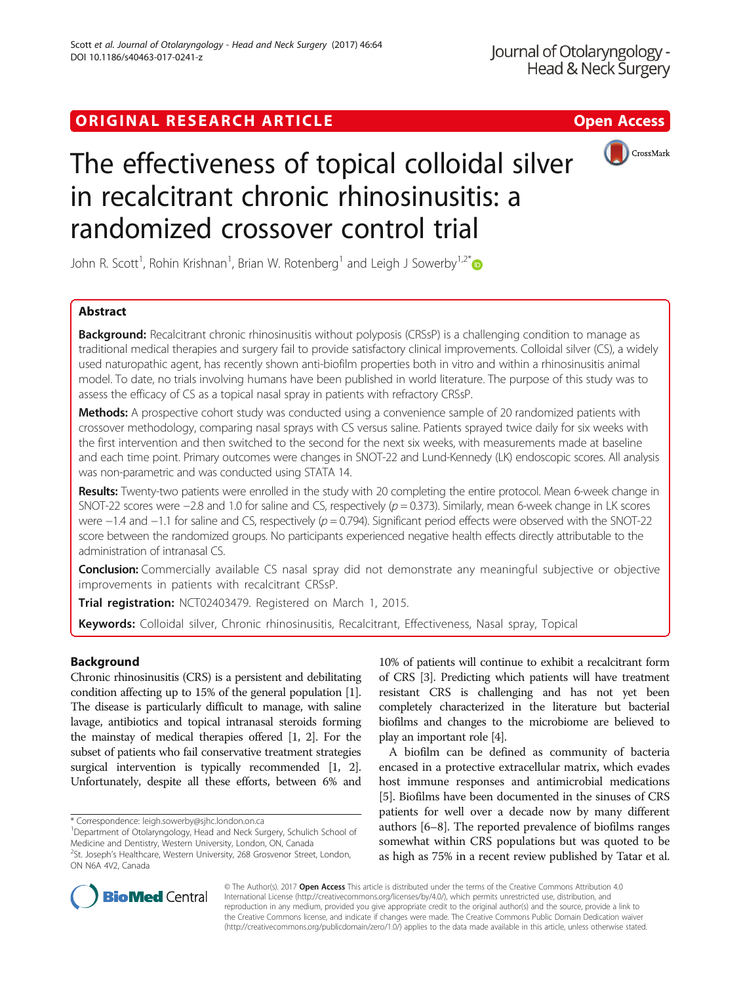# ORIGINAL RESEARCH ARTICLE **External of the Contract Contract Contract Contract Contract Contract Contract Contract Contract Contract Contract Contract Contract Contract Contract Contract Contract Contract Contract Contract**



# The effectiveness of topical colloidal silver in recalcitrant chronic rhinosinusitis: a randomized crossover control trial

John R. Scott<sup>1</sup>, Rohin Krishnan<sup>1</sup>, Brian W. Rotenberg<sup>1</sup> and Leigh J Sowerby<sup>1,2[\\*](http://orcid.org/0000-0002-5825-2759)</sup>

# Abstract

**Background:** Recalcitrant chronic rhinosinusitis without polyposis (CRSsP) is a challenging condition to manage as traditional medical therapies and surgery fail to provide satisfactory clinical improvements. Colloidal silver (CS), a widely used naturopathic agent, has recently shown anti-biofilm properties both in vitro and within a rhinosinusitis animal model. To date, no trials involving humans have been published in world literature. The purpose of this study was to assess the efficacy of CS as a topical nasal spray in patients with refractory CRSsP.

Methods: A prospective cohort study was conducted using a convenience sample of 20 randomized patients with crossover methodology, comparing nasal sprays with CS versus saline. Patients sprayed twice daily for six weeks with the first intervention and then switched to the second for the next six weeks, with measurements made at baseline and each time point. Primary outcomes were changes in SNOT-22 and Lund-Kennedy (LK) endoscopic scores. All analysis was non-parametric and was conducted using STATA 14.

Results: Twenty-two patients were enrolled in the study with 20 completing the entire protocol. Mean 6-week change in SNOT-22 scores were −2.8 and 1.0 for saline and CS, respectively (p = 0.373). Similarly, mean 6-week change in LK scores were  $-1.4$  and  $-1.1$  for saline and CS, respectively ( $p = 0.794$ ). Significant period effects were observed with the SNOT-22 score between the randomized groups. No participants experienced negative health effects directly attributable to the administration of intranasal CS.

Conclusion: Commercially available CS nasal spray did not demonstrate any meaningful subjective or objective improvements in patients with recalcitrant CRSsP.

Trial registration: [NCT02403479](https://clinicaltrials.gov/ct2/show/NCT02403479?term=silver&cntry1=NA%3ACA&draw=1&rank=2). Registered on March 1, 2015.

Keywords: Colloidal silver, Chronic rhinosinusitis, Recalcitrant, Effectiveness, Nasal spray, Topical

# Background

Chronic rhinosinusitis (CRS) is a persistent and debilitating condition affecting up to 15% of the general population [[1](#page-5-0)]. The disease is particularly difficult to manage, with saline lavage, antibiotics and topical intranasal steroids forming the mainstay of medical therapies offered [[1](#page-5-0), [2\]](#page-5-0). For the subset of patients who fail conservative treatment strategies surgical intervention is typically recommended [\[1, 2](#page-5-0)]. Unfortunately, despite all these efforts, between 6% and

10% of patients will continue to exhibit a recalcitrant form of CRS [[3](#page-5-0)]. Predicting which patients will have treatment resistant CRS is challenging and has not yet been completely characterized in the literature but bacterial biofilms and changes to the microbiome are believed to play an important role [[4](#page-5-0)].

A biofilm can be defined as community of bacteria encased in a protective extracellular matrix, which evades host immune responses and antimicrobial medications [[5\]](#page-5-0). Biofilms have been documented in the sinuses of CRS patients for well over a decade now by many different authors [\[6](#page-5-0)–[8](#page-5-0)]. The reported prevalence of biofilms ranges somewhat within CRS populations but was quoted to be as high as 75% in a recent review published by Tatar et al.



© The Author(s). 2017 **Open Access** This article is distributed under the terms of the Creative Commons Attribution 4.0 International License [\(http://creativecommons.org/licenses/by/4.0/](http://creativecommons.org/licenses/by/4.0/)), which permits unrestricted use, distribution, and reproduction in any medium, provided you give appropriate credit to the original author(s) and the source, provide a link to the Creative Commons license, and indicate if changes were made. The Creative Commons Public Domain Dedication waiver [\(http://creativecommons.org/publicdomain/zero/1.0/](http://creativecommons.org/publicdomain/zero/1.0/)) applies to the data made available in this article, unless otherwise stated.

<sup>\*</sup> Correspondence: [leigh.sowerby@sjhc.london.on.ca](mailto:leigh.sowerby@sjhc.london.on.ca) <sup>1</sup>

<sup>&</sup>lt;sup>1</sup>Department of Otolaryngology, Head and Neck Surgery, Schulich School of Medicine and Dentistry, Western University, London, ON, Canada

<sup>&</sup>lt;sup>2</sup>St. Joseph's Healthcare, Western University, 268 Grosvenor Street, London, ON N6A 4V2, Canada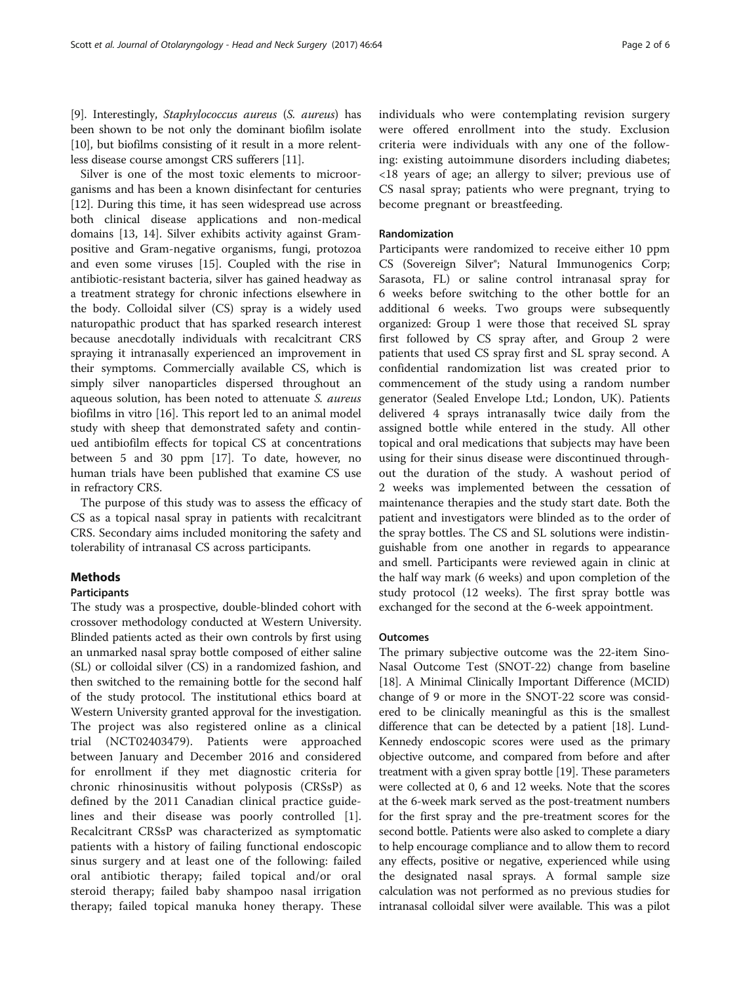[[9\]](#page-5-0). Interestingly, Staphylococcus aureus (S. aureus) has been shown to be not only the dominant biofilm isolate [[10](#page-5-0)], but biofilms consisting of it result in a more relentless disease course amongst CRS sufferers [[11](#page-5-0)].

Silver is one of the most toxic elements to microorganisms and has been a known disinfectant for centuries [[12\]](#page-5-0). During this time, it has seen widespread use across both clinical disease applications and non-medical domains [[13, 14\]](#page-5-0). Silver exhibits activity against Grampositive and Gram-negative organisms, fungi, protozoa and even some viruses [\[15\]](#page-5-0). Coupled with the rise in antibiotic-resistant bacteria, silver has gained headway as a treatment strategy for chronic infections elsewhere in the body. Colloidal silver (CS) spray is a widely used naturopathic product that has sparked research interest because anecdotally individuals with recalcitrant CRS spraying it intranasally experienced an improvement in their symptoms. Commercially available CS, which is simply silver nanoparticles dispersed throughout an aqueous solution, has been noted to attenuate S. aureus biofilms in vitro [\[16](#page-5-0)]. This report led to an animal model study with sheep that demonstrated safety and continued antibiofilm effects for topical CS at concentrations between 5 and 30 ppm [\[17\]](#page-5-0). To date, however, no human trials have been published that examine CS use in refractory CRS.

The purpose of this study was to assess the efficacy of CS as a topical nasal spray in patients with recalcitrant CRS. Secondary aims included monitoring the safety and tolerability of intranasal CS across participants.

# Methods

# Participants

The study was a prospective, double-blinded cohort with crossover methodology conducted at Western University. Blinded patients acted as their own controls by first using an unmarked nasal spray bottle composed of either saline (SL) or colloidal silver (CS) in a randomized fashion, and then switched to the remaining bottle for the second half of the study protocol. The institutional ethics board at Western University granted approval for the investigation. The project was also registered online as a clinical trial (NCT02403479). Patients were approached between January and December 2016 and considered for enrollment if they met diagnostic criteria for chronic rhinosinusitis without polyposis (CRSsP) as defined by the 2011 Canadian clinical practice guidelines and their disease was poorly controlled [\[1](#page-5-0)]. Recalcitrant CRSsP was characterized as symptomatic patients with a history of failing functional endoscopic sinus surgery and at least one of the following: failed oral antibiotic therapy; failed topical and/or oral steroid therapy; failed baby shampoo nasal irrigation therapy; failed topical manuka honey therapy. These individuals who were contemplating revision surgery were offered enrollment into the study. Exclusion criteria were individuals with any one of the following: existing autoimmune disorders including diabetes; <18 years of age; an allergy to silver; previous use of CS nasal spray; patients who were pregnant, trying to become pregnant or breastfeeding.

# Randomization

Participants were randomized to receive either 10 ppm CS (Sovereign Silver®; Natural Immunogenics Corp; Sarasota, FL) or saline control intranasal spray for 6 weeks before switching to the other bottle for an additional 6 weeks. Two groups were subsequently organized: Group 1 were those that received SL spray first followed by CS spray after, and Group 2 were patients that used CS spray first and SL spray second. A confidential randomization list was created prior to commencement of the study using a random number generator (Sealed Envelope Ltd.; London, UK). Patients delivered 4 sprays intranasally twice daily from the assigned bottle while entered in the study. All other topical and oral medications that subjects may have been using for their sinus disease were discontinued throughout the duration of the study. A washout period of 2 weeks was implemented between the cessation of maintenance therapies and the study start date. Both the patient and investigators were blinded as to the order of the spray bottles. The CS and SL solutions were indistinguishable from one another in regards to appearance and smell. Participants were reviewed again in clinic at the half way mark (6 weeks) and upon completion of the study protocol (12 weeks). The first spray bottle was exchanged for the second at the 6-week appointment.

# **Outcomes**

The primary subjective outcome was the 22-item Sino-Nasal Outcome Test (SNOT-22) change from baseline [[18](#page-5-0)]. A Minimal Clinically Important Difference (MCID) change of 9 or more in the SNOT-22 score was considered to be clinically meaningful as this is the smallest difference that can be detected by a patient [[18\]](#page-5-0). Lund-Kennedy endoscopic scores were used as the primary objective outcome, and compared from before and after treatment with a given spray bottle [\[19\]](#page-5-0). These parameters were collected at 0, 6 and 12 weeks. Note that the scores at the 6-week mark served as the post-treatment numbers for the first spray and the pre-treatment scores for the second bottle. Patients were also asked to complete a diary to help encourage compliance and to allow them to record any effects, positive or negative, experienced while using the designated nasal sprays. A formal sample size calculation was not performed as no previous studies for intranasal colloidal silver were available. This was a pilot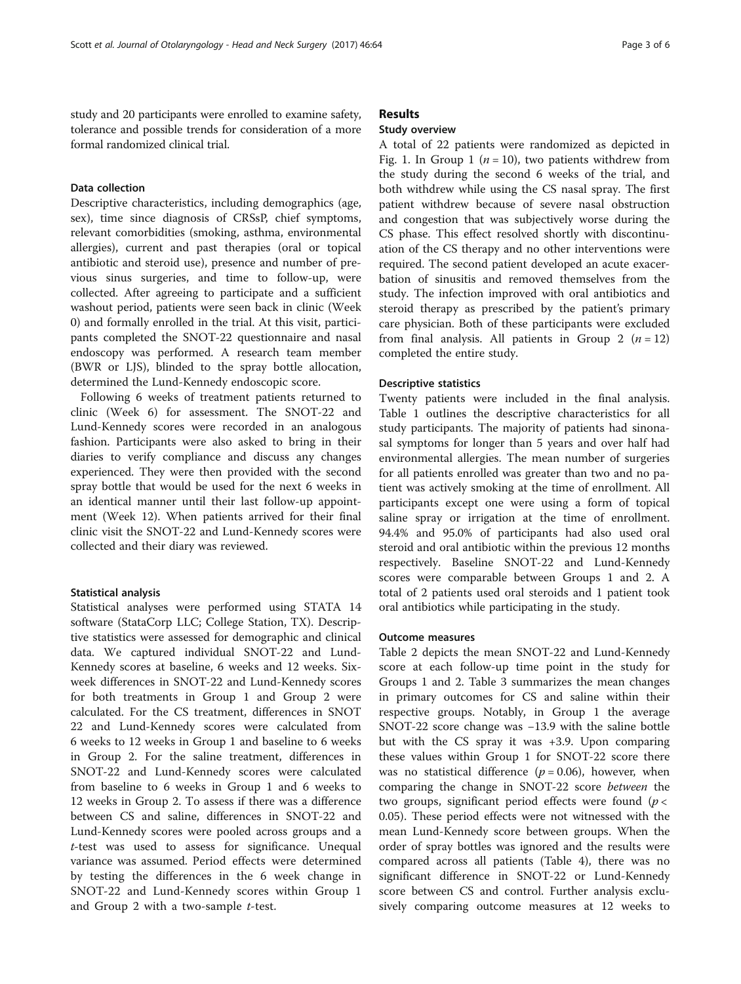study and 20 participants were enrolled to examine safety, tolerance and possible trends for consideration of a more formal randomized clinical trial.

# Data collection

Descriptive characteristics, including demographics (age, sex), time since diagnosis of CRSsP, chief symptoms, relevant comorbidities (smoking, asthma, environmental allergies), current and past therapies (oral or topical antibiotic and steroid use), presence and number of previous sinus surgeries, and time to follow-up, were collected. After agreeing to participate and a sufficient washout period, patients were seen back in clinic (Week 0) and formally enrolled in the trial. At this visit, participants completed the SNOT-22 questionnaire and nasal endoscopy was performed. A research team member (BWR or LJS), blinded to the spray bottle allocation, determined the Lund-Kennedy endoscopic score.

Following 6 weeks of treatment patients returned to clinic (Week 6) for assessment. The SNOT-22 and Lund-Kennedy scores were recorded in an analogous fashion. Participants were also asked to bring in their diaries to verify compliance and discuss any changes experienced. They were then provided with the second spray bottle that would be used for the next 6 weeks in an identical manner until their last follow-up appointment (Week 12). When patients arrived for their final clinic visit the SNOT-22 and Lund-Kennedy scores were collected and their diary was reviewed.

#### Statistical analysis

Statistical analyses were performed using STATA 14 software (StataCorp LLC; College Station, TX). Descriptive statistics were assessed for demographic and clinical data. We captured individual SNOT-22 and Lund-Kennedy scores at baseline, 6 weeks and 12 weeks. Sixweek differences in SNOT-22 and Lund-Kennedy scores for both treatments in Group 1 and Group 2 were calculated. For the CS treatment, differences in SNOT 22 and Lund-Kennedy scores were calculated from 6 weeks to 12 weeks in Group 1 and baseline to 6 weeks in Group 2. For the saline treatment, differences in SNOT-22 and Lund-Kennedy scores were calculated from baseline to 6 weeks in Group 1 and 6 weeks to 12 weeks in Group 2. To assess if there was a difference between CS and saline, differences in SNOT-22 and Lund-Kennedy scores were pooled across groups and a t-test was used to assess for significance. Unequal variance was assumed. Period effects were determined by testing the differences in the 6 week change in SNOT-22 and Lund-Kennedy scores within Group 1 and Group 2 with a two-sample t-test.

# Results

# Study overview

A total of 22 patients were randomized as depicted in Fig. [1.](#page-3-0) In Group 1 ( $n = 10$ ), two patients withdrew from the study during the second 6 weeks of the trial, and both withdrew while using the CS nasal spray. The first patient withdrew because of severe nasal obstruction and congestion that was subjectively worse during the CS phase. This effect resolved shortly with discontinuation of the CS therapy and no other interventions were required. The second patient developed an acute exacerbation of sinusitis and removed themselves from the study. The infection improved with oral antibiotics and steroid therapy as prescribed by the patient's primary care physician. Both of these participants were excluded from final analysis. All patients in Group 2  $(n = 12)$ completed the entire study.

#### Descriptive statistics

Twenty patients were included in the final analysis. Table [1](#page-3-0) outlines the descriptive characteristics for all study participants. The majority of patients had sinonasal symptoms for longer than 5 years and over half had environmental allergies. The mean number of surgeries for all patients enrolled was greater than two and no patient was actively smoking at the time of enrollment. All participants except one were using a form of topical saline spray or irrigation at the time of enrollment. 94.4% and 95.0% of participants had also used oral steroid and oral antibiotic within the previous 12 months respectively. Baseline SNOT-22 and Lund-Kennedy scores were comparable between Groups 1 and 2. A total of 2 patients used oral steroids and 1 patient took oral antibiotics while participating in the study.

#### Outcome measures

Table [2](#page-4-0) depicts the mean SNOT-22 and Lund-Kennedy score at each follow-up time point in the study for Groups 1 and 2. Table [3](#page-4-0) summarizes the mean changes in primary outcomes for CS and saline within their respective groups. Notably, in Group 1 the average SNOT-22 score change was −13.9 with the saline bottle but with the CS spray it was +3.9. Upon comparing these values within Group 1 for SNOT-22 score there was no statistical difference ( $p = 0.06$ ), however, when comparing the change in SNOT-22 score between the two groups, significant period effects were found  $(p <$ 0.05). These period effects were not witnessed with the mean Lund-Kennedy score between groups. When the order of spray bottles was ignored and the results were compared across all patients (Table [4](#page-4-0)), there was no significant difference in SNOT-22 or Lund-Kennedy score between CS and control. Further analysis exclusively comparing outcome measures at 12 weeks to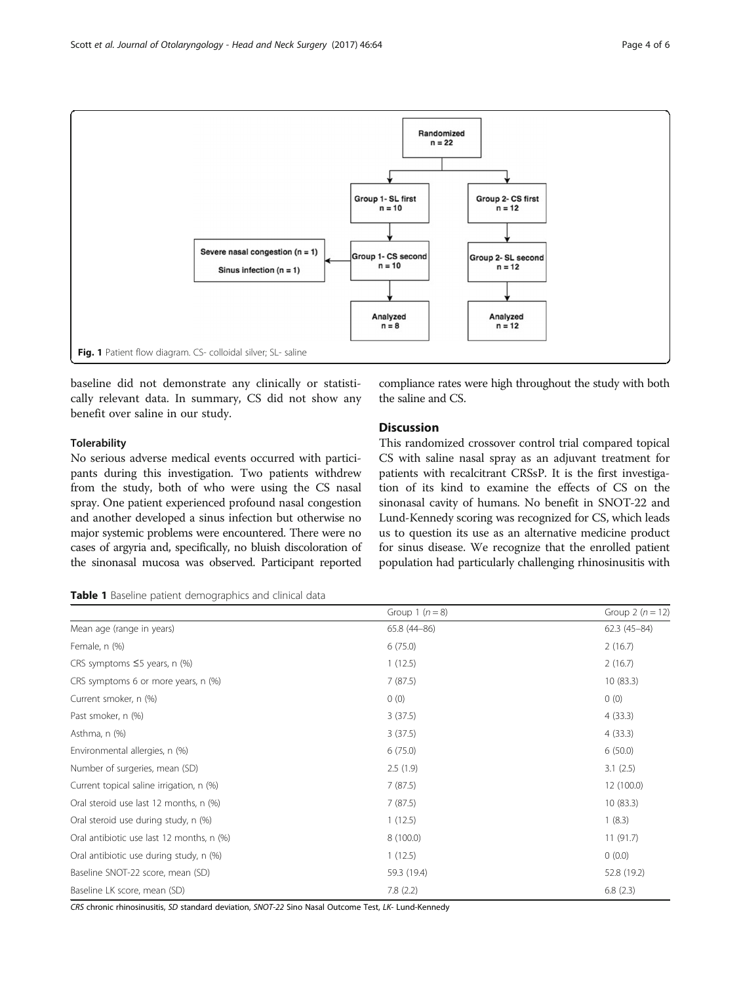<span id="page-3-0"></span>

baseline did not demonstrate any clinically or statistically relevant data. In summary, CS did not show any benefit over saline in our study.

## **Tolerability**

No serious adverse medical events occurred with participants during this investigation. Two patients withdrew from the study, both of who were using the CS nasal spray. One patient experienced profound nasal congestion and another developed a sinus infection but otherwise no major systemic problems were encountered. There were no cases of argyria and, specifically, no bluish discoloration of the sinonasal mucosa was observed. Participant reported

compliance rates were high throughout the study with both the saline and CS.

# Discussion

This randomized crossover control trial compared topical CS with saline nasal spray as an adjuvant treatment for patients with recalcitrant CRSsP. It is the first investigation of its kind to examine the effects of CS on the sinonasal cavity of humans. No benefit in SNOT-22 and Lund-Kennedy scoring was recognized for CS, which leads us to question its use as an alternative medicine product for sinus disease. We recognize that the enrolled patient population had particularly challenging rhinosinusitis with

### Table 1 Baseline patient demographics and clinical data

|                                           | Group 1 $(n = 8)$ | Group 2 $(n = 12)$ |
|-------------------------------------------|-------------------|--------------------|
| Mean age (range in years)                 | 65.8 (44-86)      | $62.3(45-84)$      |
| Female, n (%)                             | 6(75.0)           | 2(16.7)            |
| CRS symptoms $\leq$ 5 years, n (%)        | 1(12.5)           | 2(16.7)            |
| CRS symptoms 6 or more years, n (%)       | 7(87.5)           | 10(83.3)           |
| Current smoker, n (%)                     | 0(0)              | 0(0)               |
| Past smoker, n (%)                        | 3(37.5)           | 4(33.3)            |
| Asthma, n (%)                             | 3(37.5)           | 4(33.3)            |
| Environmental allergies, n (%)            | 6(75.0)           | 6(50.0)            |
| Number of surgeries, mean (SD)            | 2.5(1.9)          | 3.1(2.5)           |
| Current topical saline irrigation, n (%)  | 7(87.5)           | 12 (100.0)         |
| Oral steroid use last 12 months, n (%)    | 7(87.5)           | 10(83.3)           |
| Oral steroid use during study, n (%)      | 1(12.5)           | 1(8.3)             |
| Oral antibiotic use last 12 months, n (%) | 8 (100.0)         | 11(91.7)           |
| Oral antibiotic use during study, n (%)   | 1(12.5)           | 0(0.0)             |
| Baseline SNOT-22 score, mean (SD)         | 59.3 (19.4)       | 52.8 (19.2)        |
| Baseline LK score, mean (SD)              | 7.8(2.2)          | 6.8(2.3)           |

CRS chronic rhinosinusitis, SD standard deviation, SNOT-22 Sino Nasal Outcome Test, LK- Lund-Kennedy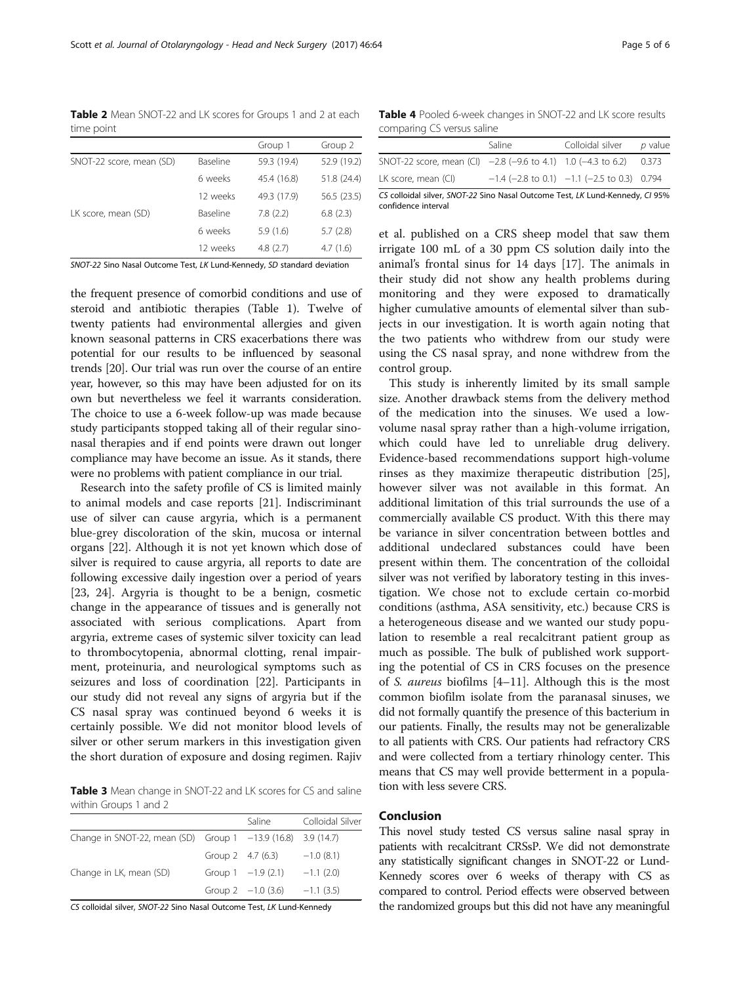SNOT-22 Sino Nasal Outcome Test, LK Lund-Kennedy, SD standard deviation

the frequent presence of comorbid conditions and use of steroid and antibiotic therapies (Table [1](#page-3-0)). Twelve of twenty patients had environmental allergies and given known seasonal patterns in CRS exacerbations there was potential for our results to be influenced by seasonal trends [[20\]](#page-5-0). Our trial was run over the course of an entire year, however, so this may have been adjusted for on its own but nevertheless we feel it warrants consideration. The choice to use a 6-week follow-up was made because study participants stopped taking all of their regular sinonasal therapies and if end points were drawn out longer compliance may have become an issue. As it stands, there were no problems with patient compliance in our trial.

Research into the safety profile of CS is limited mainly to animal models and case reports [\[21](#page-5-0)]. Indiscriminant use of silver can cause argyria, which is a permanent blue-grey discoloration of the skin, mucosa or internal organs [\[22](#page-5-0)]. Although it is not yet known which dose of silver is required to cause argyria, all reports to date are following excessive daily ingestion over a period of years [[23, 24\]](#page-5-0). Argyria is thought to be a benign, cosmetic change in the appearance of tissues and is generally not associated with serious complications. Apart from argyria, extreme cases of systemic silver toxicity can lead to thrombocytopenia, abnormal clotting, renal impairment, proteinuria, and neurological symptoms such as seizures and loss of coordination [[22](#page-5-0)]. Participants in our study did not reveal any signs of argyria but if the CS nasal spray was continued beyond 6 weeks it is certainly possible. We did not monitor blood levels of silver or other serum markers in this investigation given the short duration of exposure and dosing regimen. Rajiv

Table 3 Mean change in SNOT-22 and LK scores for CS and saline within Groups 1 and 2

|                                                              |                   | Saline               | Colloidal Silver |
|--------------------------------------------------------------|-------------------|----------------------|------------------|
| Change in SNOT-22, mean (SD) Group 1 -13.9 (16.8) 3.9 (14.7) |                   |                      |                  |
|                                                              | Group 2 4.7 (6.3) |                      | $-1.0(8.1)$      |
| Change in LK, mean (SD)                                      |                   | Group $1 -1.9(2.1)$  | $-1.1(2.0)$      |
|                                                              |                   | Group $2 -1.0$ (3.6) | $-1.1(3.5)$      |
|                                                              |                   |                      |                  |

CS colloidal silver, SNOT-22 Sino Nasal Outcome Test, LK Lund-Kennedy

Table 4 Pooled 6-week changes in SNOT-22 and LK score results comparing CS versus saline

| companing correlations same                                     |        |                                                 |                |  |  |
|-----------------------------------------------------------------|--------|-------------------------------------------------|----------------|--|--|
|                                                                 | Saline | Colloidal silver                                | <i>p</i> value |  |  |
| SNOT-22 score, mean (CI) $-2.8$ (-9.6 to 4.1) 1.0 (-4.3 to 6.2) |        |                                                 | 0.373          |  |  |
| LK score, mean (CI)                                             |        | $-1.4$ (-2.8 to 0.1) $-1.1$ (-2.5 to 0.3) 0.794 |                |  |  |

CS colloidal silver, SNOT-22 Sino Nasal Outcome Test, LK Lund-Kennedy, CI 95% confidence interval

et al. published on a CRS sheep model that saw them irrigate 100 mL of a 30 ppm CS solution daily into the animal's frontal sinus for 14 days [[17](#page-5-0)]. The animals in their study did not show any health problems during monitoring and they were exposed to dramatically higher cumulative amounts of elemental silver than subjects in our investigation. It is worth again noting that the two patients who withdrew from our study were using the CS nasal spray, and none withdrew from the control group.

This study is inherently limited by its small sample size. Another drawback stems from the delivery method of the medication into the sinuses. We used a lowvolume nasal spray rather than a high-volume irrigation, which could have led to unreliable drug delivery. Evidence-based recommendations support high-volume rinses as they maximize therapeutic distribution [\[25](#page-5-0)], however silver was not available in this format. An additional limitation of this trial surrounds the use of a commercially available CS product. With this there may be variance in silver concentration between bottles and additional undeclared substances could have been present within them. The concentration of the colloidal silver was not verified by laboratory testing in this investigation. We chose not to exclude certain co-morbid conditions (asthma, ASA sensitivity, etc.) because CRS is a heterogeneous disease and we wanted our study population to resemble a real recalcitrant patient group as much as possible. The bulk of published work supporting the potential of CS in CRS focuses on the presence of S. aureus biofilms [\[4](#page-5-0)–[11\]](#page-5-0). Although this is the most common biofilm isolate from the paranasal sinuses, we did not formally quantify the presence of this bacterium in our patients. Finally, the results may not be generalizable to all patients with CRS. Our patients had refractory CRS and were collected from a tertiary rhinology center. This means that CS may well provide betterment in a population with less severe CRS.

### Conclusion

This novel study tested CS versus saline nasal spray in patients with recalcitrant CRSsP. We did not demonstrate any statistically significant changes in SNOT-22 or Lund-Kennedy scores over 6 weeks of therapy with CS as compared to control. Period effects were observed between the randomized groups but this did not have any meaningful

<span id="page-4-0"></span>Scott et al. Journal of Otolaryngology - Head and Neck Surgery (2017) 46:64 Page 5 of 6

Table 2 Mean SNOT-22 and LK scores for Groups 1 and 2 at each time point

| $$ $\sim$ $\sim$ $$      |          |             |             |
|--------------------------|----------|-------------|-------------|
|                          |          | Group 1     | Group 2     |
| SNOT-22 score, mean (SD) | Baseline | 59.3 (19.4) | 52.9 (19.2) |
|                          | 6 weeks  | 45.4 (16.8) | 51.8 (24.4) |
|                          | 12 weeks | 49.3 (17.9) | 56.5 (23.5) |
| LK score, mean (SD)      | Baseline | 7.8(2.2)    | 6.8(2.3)    |
|                          | 6 weeks  | 5.9(1.6)    | 5.7(2.8)    |
|                          | 12 weeks | 4.8(2.7)    | 4.7(1.6)    |
|                          |          |             |             |